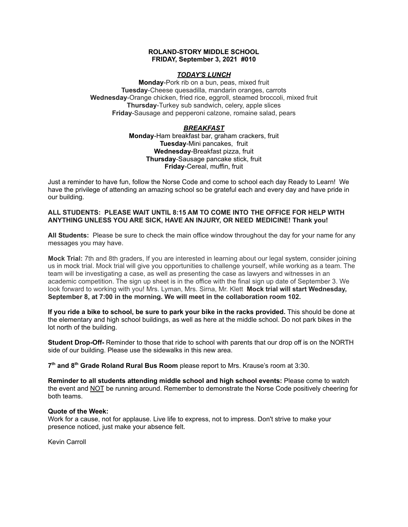#### **ROLAND-STORY MIDDLE SCHOOL FRIDAY, September 3, 2021 #010**

## *TODAY'S LUNCH*

**Monday**-Pork rib on a bun, peas, mixed fruit **Tuesday**-Cheese quesadilla, mandarin oranges, carrots **Wednesday**-Orange chicken, fried rice, eggroll, steamed broccoli, mixed fruit **Thursday**-Turkey sub sandwich, celery, apple slices **Friday**-Sausage and pepperoni calzone, romaine salad, pears

# *BREAKFAST*

**Monday**-Ham breakfast bar, graham crackers, fruit **Tuesday**-Mini pancakes, fruit **Wednesday**-Breakfast pizza, fruit **Thursday**-Sausage pancake stick, fruit **Friday**-Cereal, muffin, fruit

Just a reminder to have fun, follow the Norse Code and come to school each day Ready to Learn! We have the privilege of attending an amazing school so be grateful each and every day and have pride in our building.

## **ALL STUDENTS: PLEASE WAIT UNTIL 8:15 AM TO COME INTO THE OFFICE FOR HELP WITH ANYTHING UNLESS YOU ARE SICK, HAVE AN INJURY, OR NEED MEDICINE! Thank you!**

**All Students:** Please be sure to check the main office window throughout the day for your name for any messages you may have.

**Mock Trial:** 7th and 8th graders, If you are interested in learning about our legal system, consider joining us in mock trial. Mock trial will give you opportunities to challenge yourself, while working as a team. The team will be investigating a case, as well as presenting the case as lawyers and witnesses in an academic competition. The sign up sheet is in the office with the final sign up date of September 3. We look forward to working with you! Mrs. Lyman, Mrs. Sirna, Mr. Klett **Mock trial will start Wednesday, September 8, at 7:00 in the morning. We will meet in the collaboration room 102.**

**If you ride a bike to school, be sure to park your bike in the racks provided.** This should be done at the elementary and high school buildings, as well as here at the middle school. Do not park bikes in the lot north of the building.

**Student Drop-Off-** Reminder to those that ride to school with parents that our drop off is on the NORTH side of our building. Please use the sidewalks in this new area.

**7 th and 8 th Grade Roland Rural Bus Room** please report to Mrs. Krause's room at 3:30.

**Reminder to all students attending middle school and high school events:** Please come to watch the event and NOT be running around. Remember to demonstrate the Norse Code positively cheering for both teams.

#### **Quote of the Week:**

Work for a cause, not for applause. Live life to express, not to impress. Don't strive to make your presence noticed, just make your absence felt.

Kevin Carroll